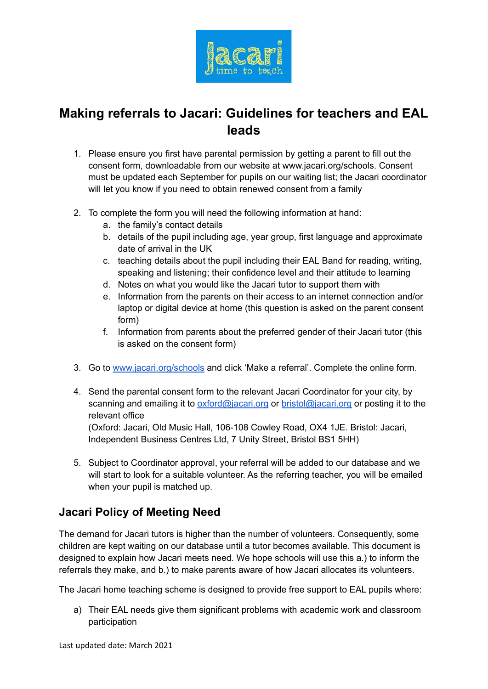

## **Making referrals to Jacari: Guidelines for teachers and EAL leads**

- 1. Please ensure you first have parental permission by getting a parent to fill out the consent form, downloadable from our website at www.jacari.org/schools. Consent must be updated each September for pupils on our waiting list; the Jacari coordinator will let you know if you need to obtain renewed consent from a family
- 2. To complete the form you will need the following information at hand:
	- a. the family's contact details
	- b. details of the pupil including age, year group, first language and approximate date of arrival in the UK
	- c. teaching details about the pupil including their EAL Band for reading, writing, speaking and listening; their confidence level and their attitude to learning
	- d. Notes on what you would like the Jacari tutor to support them with
	- e. Information from the parents on their access to an internet connection and/or laptop or digital device at home (this question is asked on the parent consent form)
	- f. Information from parents about the preferred gender of their Jacari tutor (this is asked on the consent form)
- 3. Go to [www.jacari.org/schools](http://www.jacari.org/schools) and click 'Make a referral'. Complete the online form.
- 4. Send the parental consent form to the relevant Jacari Coordinator for your city, by scanning and emailing it to [oxford@jacari.org](mailto:oxford@jacari.org) or [bristol@jacari.org](mailto:bristol@jacari.org) or posting it to the relevant office

(Oxford: Jacari, Old Music Hall, 106-108 Cowley Road, OX4 1JE. Bristol: Jacari, Independent Business Centres Ltd, 7 Unity Street, Bristol BS1 5HH)

5. Subject to Coordinator approval, your referral will be added to our database and we will start to look for a suitable volunteer. As the referring teacher, you will be emailed when your pupil is matched up.

## **Jacari Policy of Meeting Need**

The demand for Jacari tutors is higher than the number of volunteers. Consequently, some children are kept waiting on our database until a tutor becomes available. This document is designed to explain how Jacari meets need. We hope schools will use this a.) to inform the referrals they make, and b.) to make parents aware of how Jacari allocates its volunteers.

The Jacari home teaching scheme is designed to provide free support to EAL pupils where:

a) Their EAL needs give them significant problems with academic work and classroom participation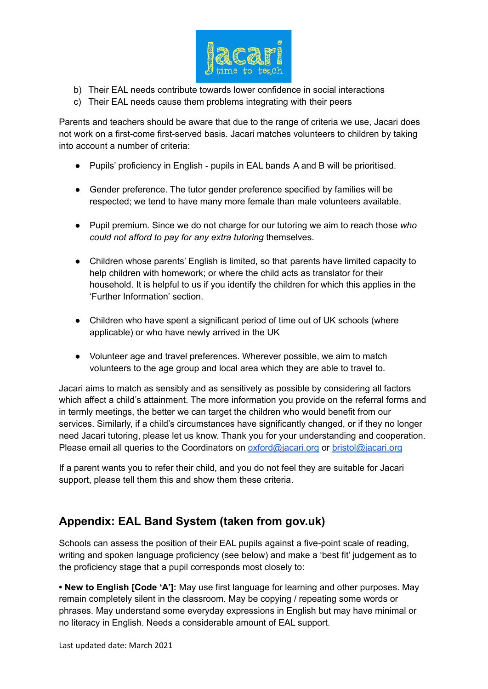

- b) Their EAL needs contribute towards lower confidence in social interactions
- c) Their EAL needs cause them problems integrating with their peers

Parents and teachers should be aware that due to the range of criteria we use, Jacari does not work on a first-come first-served basis. Jacari matches volunteers to children by taking into account a number of criteria:

- Pupils' proficiency in English pupils in EAL bands A and B will be prioritised.
- Gender preference. The tutor gender preference specified by families will be respected; we tend to have many more female than male volunteers available.
- Pupil premium. Since we do not charge for our tutoring we aim to reach those *who could not afford to pay for any extra tutoring* themselves.
- Children whose parents' English is limited, so that parents have limited capacity to help children with homework; or where the child acts as translator for their household. It is helpful to us if you identify the children for which this applies in the 'Further Information' section.
- Children who have spent a significant period of time out of UK schools (where applicable) or who have newly arrived in the UK
- Volunteer age and travel preferences. Wherever possible, we aim to match volunteers to the age group and local area which they are able to travel to.

Jacari aims to match as sensibly and as sensitively as possible by considering all factors which affect a child's attainment. The more information you provide on the referral forms and in termly meetings, the better we can target the children who would benefit from our services. Similarly, if a child's circumstances have significantly changed, or if they no longer need Jacari tutoring, please let us know. Thank you for your understanding and cooperation. Please email all queries to the Coordinators on [oxford@jacari.org](mailto:oxford@jacari.org) or [bristol@jacari.org](mailto:bristol@jacari.org)

If a parent wants you to refer their child, and you do not feel they are suitable for Jacari support, please tell them this and show them these criteria.

## **Appendix: EAL Band System (taken from gov.uk)**

Schools can assess the position of their EAL pupils against a five-point scale of reading, writing and spoken language proficiency (see below) and make a 'best fit' judgement as to the proficiency stage that a pupil corresponds most closely to:

**• New to English [Code 'A']:** May use first language for learning and other purposes. May remain completely silent in the classroom. May be copying / repeating some words or phrases. May understand some everyday expressions in English but may have minimal or no literacy in English. Needs a considerable amount of EAL support.